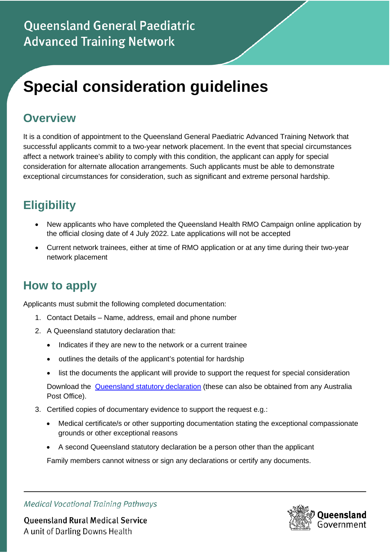# **Special consideration guidelines**

#### **Overview**

It is a condition of appointment to the Queensland General Paediatric Advanced Training Network that successful applicants commit to a two-year network placement. In the event that special circumstances affect a network trainee's ability to comply with this condition, the applicant can apply for special consideration for alternate allocation arrangements. Such applicants must be able to demonstrate exceptional circumstances for consideration, such as significant and extreme personal hardship.

## **Eligibility**

- New applicants who have completed the Queensland Health RMO Campaign online application by the official closing date of 4 July 2022. Late applications will not be accepted
- Current network trainees, either at time of RMO application or at any time during their two-year network placement

## **How to apply**

Applicants must submit the following completed documentation:

- 1. Contact Details Name, address, email and phone number
- 2. A Queensland statutory declaration that:
	- Indicates if they are new to the network or a current trainee
	- outlines the details of the applicant's potential for hardship
	- list the documents the applicant will provide to support the request for special consideration

Download the [Queensland statutory declaration](https://www.publications.qld.gov.au/dataset/statutory-declaration) (these can also be obtained from any Australia Post Office).

- 3. Certified copies of documentary evidence to support the request e.g.:
	- Medical certificate/s or other supporting documentation stating the exceptional compassionate grounds or other exceptional reasons
	- A second Queensland statutory declaration be a person other than the applicant

Family members cannot witness or sign any declarations or certify any documents.

**Medical Vocational Training Pathways** 

**Queensland Rural Medical Service** A unit of Darling Downs Health